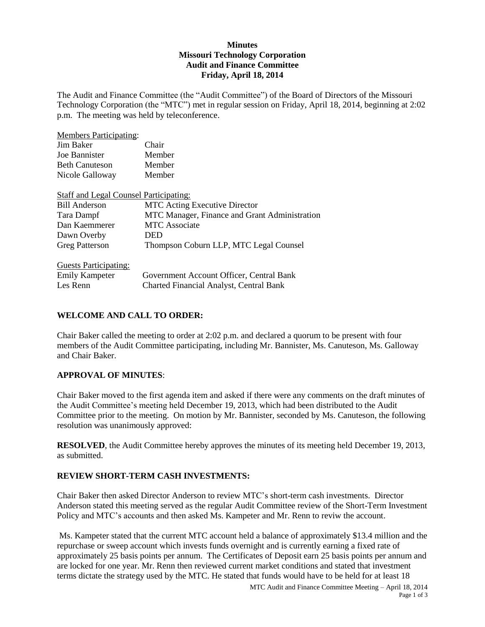### **Minutes Missouri Technology Corporation Audit and Finance Committee Friday, April 18, 2014**

The Audit and Finance Committee (the "Audit Committee") of the Board of Directors of the Missouri Technology Corporation (the "MTC") met in regular session on Friday, April 18, 2014, beginning at 2:02 p.m. The meeting was held by teleconference.

| <b>Members Participating:</b>                 |                                                |
|-----------------------------------------------|------------------------------------------------|
| Jim Baker                                     | Chair                                          |
| Joe Bannister                                 | Member                                         |
| <b>Beth Canuteson</b>                         | Member                                         |
| Nicole Galloway                               | Member                                         |
| <b>Staff and Legal Counsel Participating:</b> |                                                |
| <b>Bill Anderson</b>                          | <b>MTC</b> Acting Executive Director           |
| Tara Dampf                                    | MTC Manager, Finance and Grant Administration  |
| Dan Kaemmerer                                 | <b>MTC</b> Associate                           |
| Dawn Overby                                   | DED                                            |
| <b>Greg Patterson</b>                         | Thompson Coburn LLP, MTC Legal Counsel         |
| <b>Guests Participating:</b>                  |                                                |
| <b>Emily Kampeter</b>                         | Government Account Officer, Central Bank       |
| Les Renn                                      | <b>Charted Financial Analyst, Central Bank</b> |

## **WELCOME AND CALL TO ORDER:**

Chair Baker called the meeting to order at 2:02 p.m. and declared a quorum to be present with four members of the Audit Committee participating, including Mr. Bannister, Ms. Canuteson, Ms. Galloway and Chair Baker.

## **APPROVAL OF MINUTES**:

Chair Baker moved to the first agenda item and asked if there were any comments on the draft minutes of the Audit Committee's meeting held December 19, 2013, which had been distributed to the Audit Committee prior to the meeting. On motion by Mr. Bannister, seconded by Ms. Canuteson, the following resolution was unanimously approved:

**RESOLVED**, the Audit Committee hereby approves the minutes of its meeting held December 19, 2013, as submitted.

## **REVIEW SHORT-TERM CASH INVESTMENTS:**

Chair Baker then asked Director Anderson to review MTC's short-term cash investments. Director Anderson stated this meeting served as the regular Audit Committee review of the Short-Term Investment Policy and MTC's accounts and then asked Ms. Kampeter and Mr. Renn to reviw the account.

Ms. Kampeter stated that the current MTC account held a balance of approximately \$13.4 million and the repurchase or sweep account which invests funds overnight and is currently earning a fixed rate of approximately 25 basis points per annum. The Certificates of Deposit earn 25 basis points per annum and are locked for one year. Mr. Renn then reviewed current market conditions and stated that investment terms dictate the strategy used by the MTC. He stated that funds would have to be held for at least 18

MTC Audit and Finance Committee Meeting – April 18, 2014 Page 1 of 3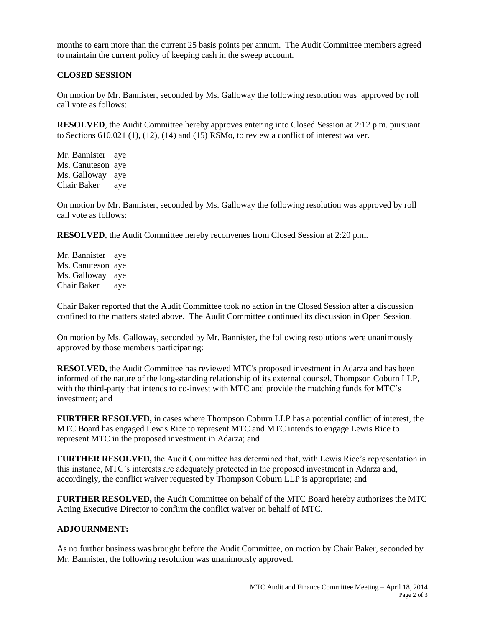months to earn more than the current 25 basis points per annum. The Audit Committee members agreed to maintain the current policy of keeping cash in the sweep account.

### **CLOSED SESSION**

On motion by Mr. Bannister, seconded by Ms. Galloway the following resolution was approved by roll call vote as follows:

**RESOLVED**, the Audit Committee hereby approves entering into Closed Session at 2:12 p.m. pursuant to Sections 610.021 (1), (12), (14) and (15) RSMo, to review a conflict of interest waiver.

Mr. Bannister aye Ms. Canuteson aye Ms. Galloway aye Chair Baker aye

On motion by Mr. Bannister, seconded by Ms. Galloway the following resolution was approved by roll call vote as follows:

**RESOLVED**, the Audit Committee hereby reconvenes from Closed Session at 2:20 p.m.

Mr. Bannister aye Ms. Canuteson aye Ms. Galloway aye Chair Baker aye

Chair Baker reported that the Audit Committee took no action in the Closed Session after a discussion confined to the matters stated above. The Audit Committee continued its discussion in Open Session.

On motion by Ms. Galloway, seconded by Mr. Bannister, the following resolutions were unanimously approved by those members participating:

**RESOLVED,** the Audit Committee has reviewed MTC's proposed investment in Adarza and has been informed of the nature of the long-standing relationship of its external counsel, Thompson Coburn LLP, with the third-party that intends to co-invest with MTC and provide the matching funds for MTC's investment; and

**FURTHER RESOLVED,** in cases where Thompson Coburn LLP has a potential conflict of interest, the MTC Board has engaged Lewis Rice to represent MTC and MTC intends to engage Lewis Rice to represent MTC in the proposed investment in Adarza; and

**FURTHER RESOLVED,** the Audit Committee has determined that, with Lewis Rice's representation in this instance, MTC's interests are adequately protected in the proposed investment in Adarza and, accordingly, the conflict waiver requested by Thompson Coburn LLP is appropriate; and

**FURTHER RESOLVED,** the Audit Committee on behalf of the MTC Board hereby authorizes the MTC Acting Executive Director to confirm the conflict waiver on behalf of MTC.

### **ADJOURNMENT:**

As no further business was brought before the Audit Committee, on motion by Chair Baker, seconded by Mr. Bannister, the following resolution was unanimously approved.